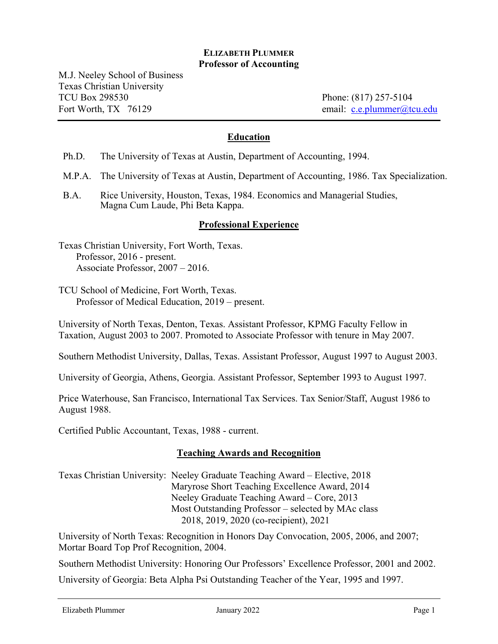### **ELIZABETH PLUMMER Professor of Accounting**

M.J. Neeley School of Business Texas Christian University TCU Box 298530 Phone: (817) 257-5104 Fort Worth, TX 76129 email: c.e.plummer@tcu.edu

### **Education**

Ph.D. The University of Texas at Austin, Department of Accounting, 1994.

M.P.A. The University of Texas at Austin, Department of Accounting, 1986. Tax Specialization.

B.A. Rice University, Houston, Texas, 1984. Economics and Managerial Studies, Magna Cum Laude, Phi Beta Kappa.

#### **Professional Experience**

Texas Christian University, Fort Worth, Texas. Professor, 2016 - present. Associate Professor, 2007 – 2016.

TCU School of Medicine, Fort Worth, Texas. Professor of Medical Education, 2019 – present.

University of North Texas, Denton, Texas. Assistant Professor, KPMG Faculty Fellow in Taxation, August 2003 to 2007. Promoted to Associate Professor with tenure in May 2007.

Southern Methodist University, Dallas, Texas. Assistant Professor, August 1997 to August 2003.

University of Georgia, Athens, Georgia. Assistant Professor, September 1993 to August 1997.

Price Waterhouse, San Francisco, International Tax Services. Tax Senior/Staff, August 1986 to August 1988.

Certified Public Accountant, Texas, 1988 - current.

#### **Teaching Awards and Recognition**

Texas Christian University: Neeley Graduate Teaching Award – Elective, 2018 Maryrose Short Teaching Excellence Award, 2014 Neeley Graduate Teaching Award – Core, 2013 Most Outstanding Professor – selected by MAc class 2018, 2019, 2020 (co-recipient), 2021

University of North Texas: Recognition in Honors Day Convocation, 2005, 2006, and 2007; Mortar Board Top Prof Recognition, 2004.

Southern Methodist University: Honoring Our Professors' Excellence Professor, 2001 and 2002.

University of Georgia: Beta Alpha Psi Outstanding Teacher of the Year, 1995 and 1997.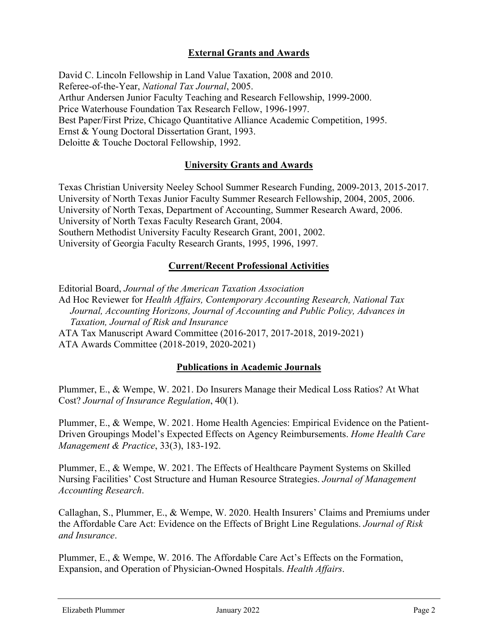# **External Grants and Awards**

David C. Lincoln Fellowship in Land Value Taxation, 2008 and 2010. Referee-of-the-Year, *National Tax Journal*, 2005. Arthur Andersen Junior Faculty Teaching and Research Fellowship, 1999-2000. Price Waterhouse Foundation Tax Research Fellow, 1996-1997. Best Paper/First Prize, Chicago Quantitative Alliance Academic Competition, 1995. Ernst & Young Doctoral Dissertation Grant, 1993. Deloitte & Touche Doctoral Fellowship, 1992.

## **University Grants and Awards**

Texas Christian University Neeley School Summer Research Funding, 2009-2013, 2015-2017. University of North Texas Junior Faculty Summer Research Fellowship, 2004, 2005, 2006. University of North Texas, Department of Accounting, Summer Research Award, 2006. University of North Texas Faculty Research Grant, 2004. Southern Methodist University Faculty Research Grant, 2001, 2002. University of Georgia Faculty Research Grants, 1995, 1996, 1997.

### **Current/Recent Professional Activities**

Editorial Board, *Journal of the American Taxation Association*  Ad Hoc Reviewer for *Health Affairs, Contemporary Accounting Research, National Tax Journal, Accounting Horizons, Journal of Accounting and Public Policy, Advances in Taxation, Journal of Risk and Insurance*  ATA Tax Manuscript Award Committee (2016-2017, 2017-2018, 2019-2021) ATA Awards Committee (2018-2019, 2020-2021)

### **Publications in Academic Journals**

Plummer, E., & Wempe, W. 2021. Do Insurers Manage their Medical Loss Ratios? At What Cost? *Journal of Insurance Regulation*, 40(1).

Plummer, E., & Wempe, W. 2021. Home Health Agencies: Empirical Evidence on the Patient-Driven Groupings Model's Expected Effects on Agency Reimbursements. *Home Health Care Management & Practice*, 33(3), 183-192.

Plummer, E., & Wempe, W. 2021. The Effects of Healthcare Payment Systems on Skilled Nursing Facilities' Cost Structure and Human Resource Strategies. *Journal of Management Accounting Research*.

Callaghan, S., Plummer, E., & Wempe, W. 2020. Health Insurers' Claims and Premiums under the Affordable Care Act: Evidence on the Effects of Bright Line Regulations. *Journal of Risk and Insurance*.

Plummer, E., & Wempe, W. 2016. The Affordable Care Act's Effects on the Formation, Expansion, and Operation of Physician-Owned Hospitals. *Health Affairs*.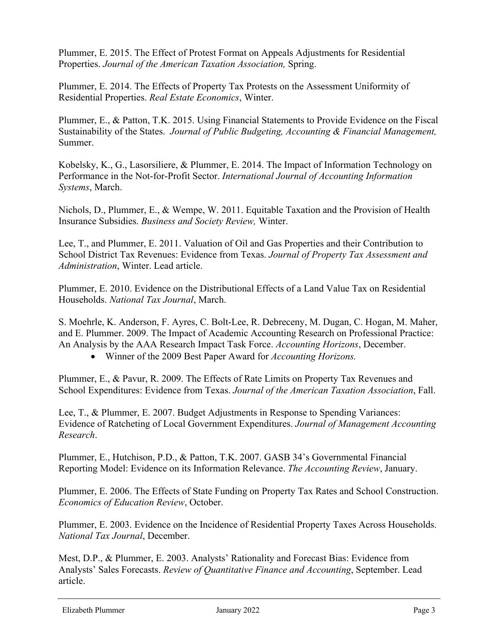Plummer, E. 2015. The Effect of Protest Format on Appeals Adjustments for Residential Properties. *Journal of the American Taxation Association,* Spring.

Plummer, E. 2014. The Effects of Property Tax Protests on the Assessment Uniformity of Residential Properties. *Real Estate Economics*, Winter.

Plummer, E., & Patton, T.K. 2015. Using Financial Statements to Provide Evidence on the Fiscal Sustainability of the States. *Journal of Public Budgeting, Accounting & Financial Management,*  Summer.

Kobelsky, K., G., Lasorsiliere, & Plummer, E. 2014. The Impact of Information Technology on Performance in the Not-for-Profit Sector. *International Journal of Accounting Information Systems*, March.

Nichols, D., Plummer, E., & Wempe, W. 2011. Equitable Taxation and the Provision of Health Insurance Subsidies. *Business and Society Review,* Winter.

Lee, T., and Plummer, E. 2011. Valuation of Oil and Gas Properties and their Contribution to School District Tax Revenues: Evidence from Texas. *Journal of Property Tax Assessment and Administration*, Winter. Lead article.

Plummer, E. 2010. Evidence on the Distributional Effects of a Land Value Tax on Residential Households. *National Tax Journal*, March.

S. Moehrle, K. Anderson, F. Ayres, C. Bolt-Lee, R. Debreceny, M. Dugan, C. Hogan, M. Maher, and E. Plummer. 2009. The Impact of Academic Accounting Research on Professional Practice: An Analysis by the AAA Research Impact Task Force. *Accounting Horizons*, December.

Winner of the 2009 Best Paper Award for *Accounting Horizons.*

Plummer, E., & Pavur, R. 2009. The Effects of Rate Limits on Property Tax Revenues and School Expenditures: Evidence from Texas. *Journal of the American Taxation Association*, Fall.

Lee, T., & Plummer, E. 2007. Budget Adjustments in Response to Spending Variances: Evidence of Ratcheting of Local Government Expenditures. *Journal of Management Accounting Research*.

Plummer, E., Hutchison, P.D., & Patton, T.K. 2007. GASB 34's Governmental Financial Reporting Model: Evidence on its Information Relevance. *The Accounting Review*, January.

Plummer, E. 2006. The Effects of State Funding on Property Tax Rates and School Construction. *Economics of Education Review*, October.

Plummer, E. 2003. Evidence on the Incidence of Residential Property Taxes Across Households. *National Tax Journal*, December.

Mest, D.P., & Plummer, E. 2003. Analysts' Rationality and Forecast Bias: Evidence from Analysts' Sales Forecasts. *Review of Quantitative Finance and Accounting*, September. Lead article.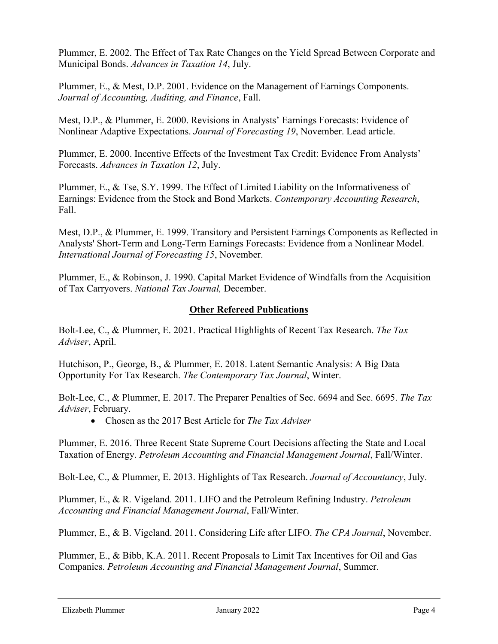Plummer, E. 2002. The Effect of Tax Rate Changes on the Yield Spread Between Corporate and Municipal Bonds. *Advances in Taxation 14*, July.

Plummer, E., & Mest, D.P. 2001. Evidence on the Management of Earnings Components. *Journal of Accounting, Auditing, and Finance*, Fall.

Mest, D.P., & Plummer, E. 2000. Revisions in Analysts' Earnings Forecasts: Evidence of Nonlinear Adaptive Expectations. *Journal of Forecasting 19*, November. Lead article.

Plummer, E. 2000. Incentive Effects of the Investment Tax Credit: Evidence From Analysts' Forecasts. *Advances in Taxation 12*, July.

Plummer, E., & Tse, S.Y. 1999. The Effect of Limited Liability on the Informativeness of Earnings: Evidence from the Stock and Bond Markets. *Contemporary Accounting Research*, Fall.

Mest, D.P., & Plummer, E. 1999. Transitory and Persistent Earnings Components as Reflected in Analysts' Short-Term and Long-Term Earnings Forecasts: Evidence from a Nonlinear Model. *International Journal of Forecasting 15*, November.

Plummer, E., & Robinson, J. 1990. Capital Market Evidence of Windfalls from the Acquisition of Tax Carryovers. *National Tax Journal,* December.

## **Other Refereed Publications**

Bolt-Lee, C., & Plummer, E. 2021. Practical Highlights of Recent Tax Research. *The Tax Adviser*, April.

Hutchison, P., George, B., & Plummer, E. 2018. Latent Semantic Analysis: A Big Data Opportunity For Tax Research. *The Contemporary Tax Journal*, Winter.

Bolt-Lee, C., & Plummer, E. 2017. The Preparer Penalties of Sec. 6694 and Sec. 6695. *The Tax Adviser*, February.

Chosen as the 2017 Best Article for *The Tax Adviser*

Plummer, E. 2016. Three Recent State Supreme Court Decisions affecting the State and Local Taxation of Energy. *Petroleum Accounting and Financial Management Journal*, Fall/Winter.

Bolt-Lee, C., & Plummer, E. 2013. Highlights of Tax Research. *Journal of Accountancy*, July.

Plummer, E., & R. Vigeland. 2011. LIFO and the Petroleum Refining Industry. *Petroleum Accounting and Financial Management Journal*, Fall/Winter.

Plummer, E., & B. Vigeland. 2011. Considering Life after LIFO. *The CPA Journal*, November.

Plummer, E., & Bibb, K.A. 2011. Recent Proposals to Limit Tax Incentives for Oil and Gas Companies. *Petroleum Accounting and Financial Management Journal*, Summer.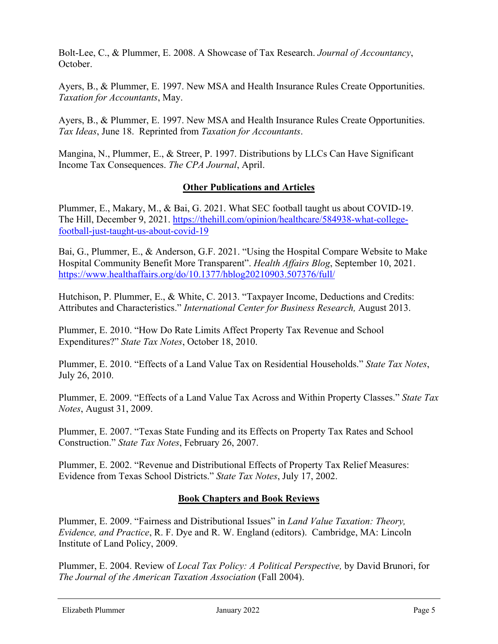Bolt-Lee, C., & Plummer, E. 2008. A Showcase of Tax Research. *Journal of Accountancy*, October.

Ayers, B., & Plummer, E. 1997. New MSA and Health Insurance Rules Create Opportunities. *Taxation for Accountants*, May.

Ayers, B., & Plummer, E. 1997. New MSA and Health Insurance Rules Create Opportunities. *Tax Ideas*, June 18. Reprinted from *Taxation for Accountants*.

Mangina, N., Plummer, E., & Streer, P. 1997. Distributions by LLCs Can Have Significant Income Tax Consequences. *The CPA Journal*, April.

# **Other Publications and Articles**

Plummer, E., Makary, M., & Bai, G. 2021. What SEC football taught us about COVID-19. The Hill, December 9, 2021. https://thehill.com/opinion/healthcare/584938-what-collegefootball-just-taught-us-about-covid-19

Bai, G., Plummer, E., & Anderson, G.F. 2021. "Using the Hospital Compare Website to Make Hospital Community Benefit More Transparent". *Health Affairs Blog*, September 10, 2021. https://www.healthaffairs.org/do/10.1377/hblog20210903.507376/full/

Hutchison, P. Plummer, E., & White, C. 2013. "Taxpayer Income, Deductions and Credits: Attributes and Characteristics." *International Center for Business Research,* August 2013.

Plummer, E. 2010. "How Do Rate Limits Affect Property Tax Revenue and School Expenditures?" *State Tax Notes*, October 18, 2010.

Plummer, E. 2010. "Effects of a Land Value Tax on Residential Households." *State Tax Notes*, July 26, 2010.

Plummer, E. 2009. "Effects of a Land Value Tax Across and Within Property Classes." *State Tax Notes*, August 31, 2009.

Plummer, E. 2007. "Texas State Funding and its Effects on Property Tax Rates and School Construction." *State Tax Notes*, February 26, 2007.

Plummer, E. 2002. "Revenue and Distributional Effects of Property Tax Relief Measures: Evidence from Texas School Districts." *State Tax Notes*, July 17, 2002.

### **Book Chapters and Book Reviews**

Plummer, E. 2009. "Fairness and Distributional Issues" in *Land Value Taxation: Theory, Evidence, and Practice*, R. F. Dye and R. W. England (editors). Cambridge, MA: Lincoln Institute of Land Policy, 2009.

Plummer, E. 2004. Review of *Local Tax Policy: A Political Perspective,* by David Brunori, for *The Journal of the American Taxation Association* (Fall 2004).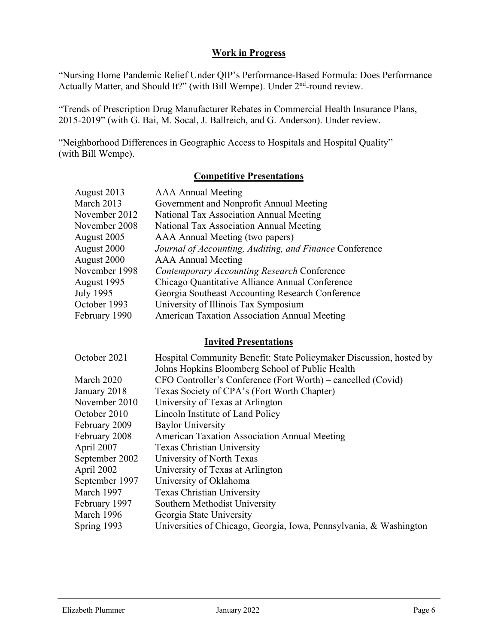### **Work in Progress**

"Nursing Home Pandemic Relief Under QIP's Performance-Based Formula: Does Performance Actually Matter, and Should It?" (with Bill Wempe). Under 2<sup>nd</sup>-round review.

"Trends of Prescription Drug Manufacturer Rebates in Commercial Health Insurance Plans, 2015-2019" (with G. Bai, M. Socal, J. Ballreich, and G. Anderson). Under review.

"Neighborhood Differences in Geographic Access to Hospitals and Hospital Quality" (with Bill Wempe).

# **Competitive Presentations**

| August 2013   | <b>AAA Annual Meeting</b>                               |
|---------------|---------------------------------------------------------|
| March 2013    | Government and Nonprofit Annual Meeting                 |
| November 2012 | National Tax Association Annual Meeting                 |
| November 2008 | National Tax Association Annual Meeting                 |
| August 2005   | AAA Annual Meeting (two papers)                         |
| August 2000   | Journal of Accounting, Auditing, and Finance Conference |
| August 2000   | <b>AAA Annual Meeting</b>                               |
| November 1998 | <b>Contemporary Accounting Research Conference</b>      |
| August 1995   | Chicago Quantitative Alliance Annual Conference         |
| July 1995     | Georgia Southeast Accounting Research Conference        |
| October 1993  | University of Illinois Tax Symposium                    |
| February 1990 | <b>American Taxation Association Annual Meeting</b>     |

# **Invited Presentations**

| October 2021   | Hospital Community Benefit: State Policymaker Discussion, hosted by |
|----------------|---------------------------------------------------------------------|
|                | Johns Hopkins Bloomberg School of Public Health                     |
| March 2020     | CFO Controller's Conference (Fort Worth) – cancelled (Covid)        |
| January 2018   | Texas Society of CPA's (Fort Worth Chapter)                         |
| November 2010  | University of Texas at Arlington                                    |
| October 2010   | Lincoln Institute of Land Policy                                    |
| February 2009  | <b>Baylor University</b>                                            |
| February 2008  | American Taxation Association Annual Meeting                        |
| April 2007     | <b>Texas Christian University</b>                                   |
| September 2002 | University of North Texas                                           |
| April 2002     | University of Texas at Arlington                                    |
| September 1997 | University of Oklahoma                                              |
| March 1997     | <b>Texas Christian University</b>                                   |
| February 1997  | Southern Methodist University                                       |
| March 1996     | Georgia State University                                            |
| Spring 1993    | Universities of Chicago, Georgia, Iowa, Pennsylvania, & Washington  |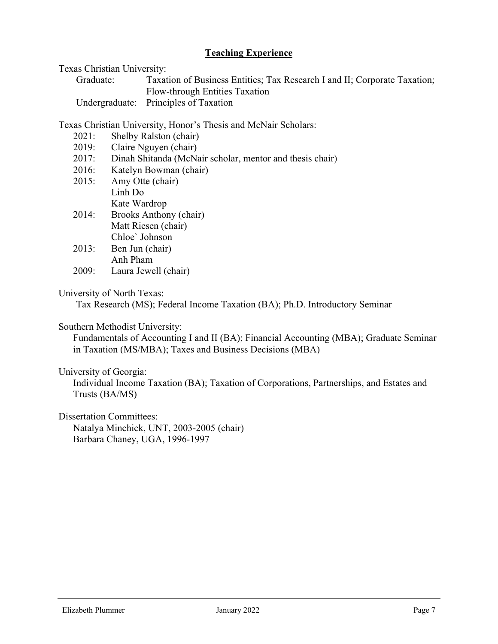# **Teaching Experience**

Texas Christian University:

| Graduate: | Taxation of Business Entities; Tax Research I and II; Corporate Taxation; |
|-----------|---------------------------------------------------------------------------|
|           | Flow-through Entities Taxation                                            |
|           | Undergraduate: Principles of Taxation                                     |

Texas Christian University, Honor's Thesis and McNair Scholars:

- 2021: Shelby Ralston (chair)
- 2019: Claire Nguyen (chair)
- 2017: Dinah Shitanda (McNair scholar, mentor and thesis chair)
- 2016: Katelyn Bowman (chair)
- 2015: Amy Otte (chair) Linh Do Kate Wardrop
- 2014: Brooks Anthony (chair) Matt Riesen (chair) Chloe` Johnson
- 2013: Ben Jun (chair) Anh Pham
- 2009: Laura Jewell (chair)

## University of North Texas:

Tax Research (MS); Federal Income Taxation (BA); Ph.D. Introductory Seminar

### Southern Methodist University:

 Fundamentals of Accounting I and II (BA); Financial Accounting (MBA); Graduate Seminar in Taxation (MS/MBA); Taxes and Business Decisions (MBA)

### University of Georgia:

 Individual Income Taxation (BA); Taxation of Corporations, Partnerships, and Estates and Trusts (BA/MS)

Dissertation Committees:

 Natalya Minchick, UNT, 2003-2005 (chair) Barbara Chaney, UGA, 1996-1997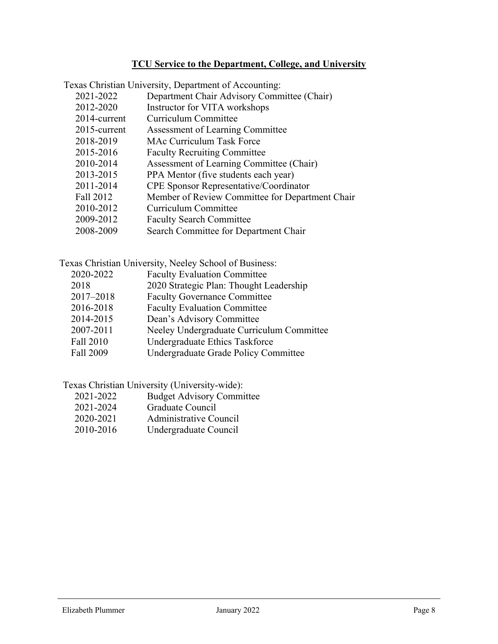# **TCU Service to the Department, College, and University**

| Texas Christian University, Department of Accounting: |                                                 |  |
|-------------------------------------------------------|-------------------------------------------------|--|
| 2021-2022                                             | Department Chair Advisory Committee (Chair)     |  |
| 2012-2020                                             | Instructor for VITA workshops                   |  |
| 2014-current                                          | Curriculum Committee                            |  |
| 2015-current                                          | Assessment of Learning Committee                |  |
| 2018-2019                                             | MAc Curriculum Task Force                       |  |
| 2015-2016                                             | <b>Faculty Recruiting Committee</b>             |  |
| 2010-2014                                             | Assessment of Learning Committee (Chair)        |  |
| 2013-2015                                             | PPA Mentor (five students each year)            |  |
| 2011-2014                                             | <b>CPE</b> Sponsor Representative/Coordinator   |  |
| Fall 2012                                             | Member of Review Committee for Department Chair |  |
| 2010-2012                                             | Curriculum Committee                            |  |
| 2009-2012                                             | <b>Faculty Search Committee</b>                 |  |
| 2008-2009                                             | Search Committee for Department Chair           |  |

Texas Christian University, Neeley School of Business:

| 2020-2022 | <b>Faculty Evaluation Committee</b>       |
|-----------|-------------------------------------------|
| 2018      | 2020 Strategic Plan: Thought Leadership   |
| 2017-2018 | <b>Faculty Governance Committee</b>       |
| 2016-2018 | <b>Faculty Evaluation Committee</b>       |
| 2014-2015 | Dean's Advisory Committee                 |
| 2007-2011 | Neeley Undergraduate Curriculum Committee |
| Fall 2010 | Undergraduate Ethics Taskforce            |
| Fall 2009 | Undergraduate Grade Policy Committee      |
|           |                                           |

Texas Christian University (University-wide):

- 2021-2022 Budget Advisory Committee<br>2021-2024 Graduate Council
- Graduate Council
- 2020-2021 Administrative Council
- 2010-2016 Undergraduate Council